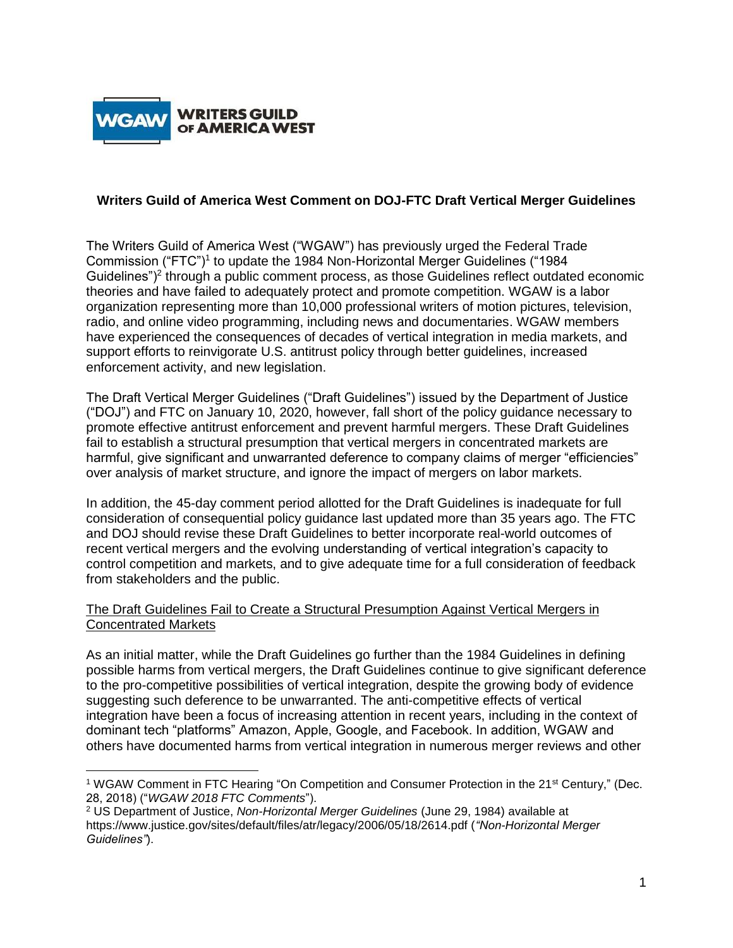

 $\overline{\phantom{a}}$ 

## **Writers Guild of America West Comment on DOJ-FTC Draft Vertical Merger Guidelines**

The Writers Guild of America West ("WGAW") has previously urged the Federal Trade Commission ("FTC")<sup>1</sup> to update the 1984 Non-Horizontal Merger Guidelines ("1984 Guidelines")<sup>2</sup> through a public comment process, as those Guidelines reflect outdated economic theories and have failed to adequately protect and promote competition. WGAW is a labor organization representing more than 10,000 professional writers of motion pictures, television, radio, and online video programming, including news and documentaries. WGAW members have experienced the consequences of decades of vertical integration in media markets, and support efforts to reinvigorate U.S. antitrust policy through better guidelines, increased enforcement activity, and new legislation.

The Draft Vertical Merger Guidelines ("Draft Guidelines") issued by the Department of Justice ("DOJ") and FTC on January 10, 2020, however, fall short of the policy guidance necessary to promote effective antitrust enforcement and prevent harmful mergers. These Draft Guidelines fail to establish a structural presumption that vertical mergers in concentrated markets are harmful, give significant and unwarranted deference to company claims of merger "efficiencies" over analysis of market structure, and ignore the impact of mergers on labor markets.

In addition, the 45-day comment period allotted for the Draft Guidelines is inadequate for full consideration of consequential policy guidance last updated more than 35 years ago. The FTC and DOJ should revise these Draft Guidelines to better incorporate real-world outcomes of recent vertical mergers and the evolving understanding of vertical integration's capacity to control competition and markets, and to give adequate time for a full consideration of feedback from stakeholders and the public.

### The Draft Guidelines Fail to Create a Structural Presumption Against Vertical Mergers in Concentrated Markets

As an initial matter, while the Draft Guidelines go further than the 1984 Guidelines in defining possible harms from vertical mergers, the Draft Guidelines continue to give significant deference to the pro-competitive possibilities of vertical integration, despite the growing body of evidence suggesting such deference to be unwarranted. The anti-competitive effects of vertical integration have been a focus of increasing attention in recent years, including in the context of dominant tech "platforms" Amazon, Apple, Google, and Facebook. In addition, WGAW and others have documented harms from vertical integration in numerous merger reviews and other

<sup>1</sup> WGAW Comment in FTC Hearing "On Competition and Consumer Protection in the 21st Century," (Dec. 28, 2018) ("*WGAW 2018 FTC Comments*").

<sup>2</sup> US Department of Justice, *Non-Horizontal Merger Guidelines* (June 29, 1984) available at https://www.justice.gov/sites/default/files/atr/legacy/2006/05/18/2614.pdf (*"Non-Horizontal Merger Guidelines"*).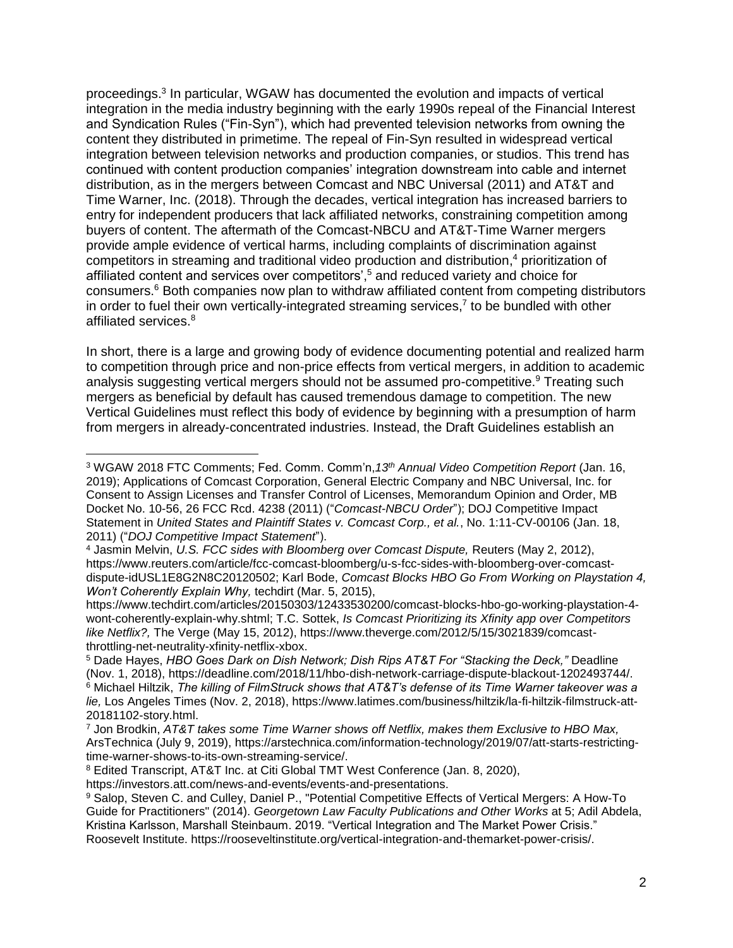proceedings.<sup>3</sup> In particular, WGAW has documented the evolution and impacts of vertical integration in the media industry beginning with the early 1990s repeal of the Financial Interest and Syndication Rules ("Fin-Syn"), which had prevented television networks from owning the content they distributed in primetime. The repeal of Fin-Syn resulted in widespread vertical integration between television networks and production companies, or studios. This trend has continued with content production companies' integration downstream into cable and internet distribution, as in the mergers between Comcast and NBC Universal (2011) and AT&T and Time Warner, Inc. (2018). Through the decades, vertical integration has increased barriers to entry for independent producers that lack affiliated networks, constraining competition among buyers of content. The aftermath of the Comcast-NBCU and AT&T-Time Warner mergers provide ample evidence of vertical harms, including complaints of discrimination against competitors in streaming and traditional video production and distribution, <sup>4</sup> prioritization of affiliated content and services over competitors',<sup>5</sup> and reduced variety and choice for consumers. <sup>6</sup> Both companies now plan to withdraw affiliated content from competing distributors in order to fuel their own vertically-integrated streaming services,<sup>7</sup> to be bundled with other affiliated services.<sup>8</sup>

In short, there is a large and growing body of evidence documenting potential and realized harm to competition through price and non-price effects from vertical mergers, in addition to academic analysis suggesting vertical mergers should not be assumed pro-competitive.<sup>9</sup> Treating such mergers as beneficial by default has caused tremendous damage to competition. The new Vertical Guidelines must reflect this body of evidence by beginning with a presumption of harm from mergers in already-concentrated industries. Instead, the Draft Guidelines establish an

https://www.techdirt.com/articles/20150303/12433530200/comcast-blocks-hbo-go-working-playstation-4 wont-coherently-explain-why.shtml; T.C. Sottek, *Is Comcast Prioritizing its Xfinity app over Competitors like Netflix?,* The Verge (May 15, 2012), https://www.theverge.com/2012/5/15/3021839/comcastthrottling-net-neutrality-xfinity-netflix-xbox.

<sup>5</sup> Dade Hayes, *HBO Goes Dark on Dish Network; Dish Rips AT&T For "Stacking the Deck,"* Deadline (Nov. 1, 2018), https://deadline.com/2018/11/hbo-dish-network-carriage-dispute-blackout-1202493744/. <sup>6</sup> Michael Hiltzik, *The killing of FilmStruck shows that AT&T's defense of its Time Warner takeover was a lie,* Los Angeles Times (Nov. 2, 2018), https://www.latimes.com/business/hiltzik/la-fi-hiltzik-filmstruck-att-20181102-story.html.

<sup>8</sup> Edited Transcript, AT&T Inc. at Citi Global TMT West Conference (Jan. 8, 2020),

 $\overline{a}$ 

<sup>3</sup> WGAW 2018 FTC Comments; Fed. Comm. Comm'n,*13th Annual Video Competition Report* (Jan. 16, 2019); Applications of Comcast Corporation, General Electric Company and NBC Universal, Inc. for Consent to Assign Licenses and Transfer Control of Licenses, Memorandum Opinion and Order, MB Docket No. 10-56, 26 FCC Rcd. 4238 (2011) ("*Comcast-NBCU Order*"); DOJ Competitive Impact Statement in *United States and Plaintiff States v. Comcast Corp., et al.*, No. 1:11-CV-00106 (Jan. 18, 2011) ("*DOJ Competitive Impact Statement*").

<sup>4</sup> Jasmin Melvin, *U.S. FCC sides with Bloomberg over Comcast Dispute,* Reuters (May 2, 2012), https://www.reuters.com/article/fcc-comcast-bloomberg/u-s-fcc-sides-with-bloomberg-over-comcastdispute-idUSL1E8G2N8C20120502; Karl Bode, *Comcast Blocks HBO Go From Working on Playstation 4, Won't Coherently Explain Why,* techdirt (Mar. 5, 2015),

<sup>7</sup> Jon Brodkin, *AT&T takes some Time Warner shows off Netflix, makes them Exclusive to HBO Max,*  ArsTechnica (July 9, 2019), https://arstechnica.com/information-technology/2019/07/att-starts-restrictingtime-warner-shows-to-its-own-streaming-service/.

https://investors.att.com/news-and-events/events-and-presentations.

<sup>9</sup> Salop, Steven C. and Culley, Daniel P., "Potential Competitive Effects of Vertical Mergers: A How-To Guide for Practitioners" (2014). *Georgetown Law Faculty Publications and Other Works* at 5; Adil Abdela, Kristina Karlsson, Marshall Steinbaum. 2019. "Vertical Integration and The Market Power Crisis." Roosevelt Institute. https://rooseveltinstitute.org/vertical-integration-and-themarket-power-crisis/.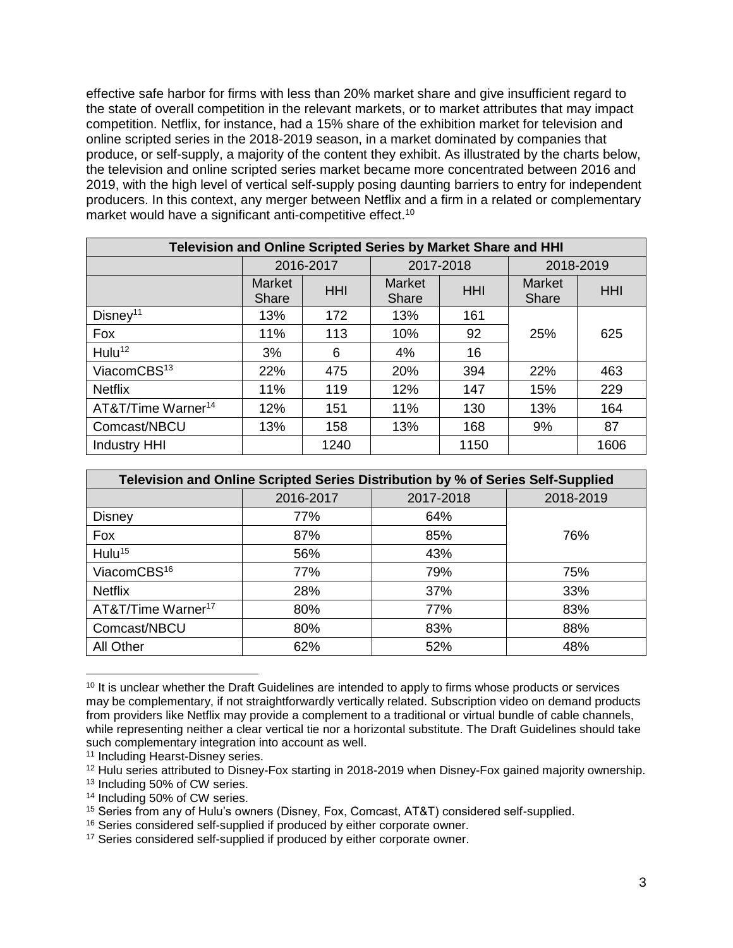effective safe harbor for firms with less than 20% market share and give insufficient regard to the state of overall competition in the relevant markets, or to market attributes that may impact competition. Netflix, for instance, had a 15% share of the exhibition market for television and online scripted series in the 2018-2019 season, in a market dominated by companies that produce, or self-supply, a majority of the content they exhibit. As illustrated by the charts below, the television and online scripted series market became more concentrated between 2016 and 2019, with the high level of vertical self-supply posing daunting barriers to entry for independent producers. In this context, any merger between Netflix and a firm in a related or complementary market would have a significant anti-competitive effect.<sup>10</sup>

| Television and Online Scripted Series by Market Share and HHI |                        |            |                        |            |                        |            |  |
|---------------------------------------------------------------|------------------------|------------|------------------------|------------|------------------------|------------|--|
|                                                               | 2016-2017              |            | 2017-2018              |            | 2018-2019              |            |  |
|                                                               | <b>Market</b><br>Share | <b>HHI</b> | <b>Market</b><br>Share | <b>HHI</b> | <b>Market</b><br>Share | <b>HHI</b> |  |
| Disney <sup>11</sup>                                          | 13%                    | 172        | 13%                    | 161        |                        |            |  |
| Fox                                                           | 11%                    | 113        | 10%                    | 92         | 25%                    | 625        |  |
| Hulu <sup>12</sup>                                            | 3%                     | 6          | 4%                     | 16         |                        |            |  |
| ViacomCBS <sup>13</sup>                                       | 22%                    | 475        | 20%                    | 394        | 22%                    | 463        |  |
| <b>Netflix</b>                                                | 11%                    | 119        | 12%                    | 147        | 15%                    | 229        |  |
| AT&T/Time Warner <sup>14</sup>                                | 12%                    | 151        | 11%                    | 130        | 13%                    | 164        |  |
| Comcast/NBCU                                                  | 13%                    | 158        | 13%                    | 168        | 9%                     | 87         |  |
| <b>Industry HHI</b>                                           |                        | 1240       |                        | 1150       |                        | 1606       |  |

| Television and Online Scripted Series Distribution by % of Series Self-Supplied |           |           |           |  |  |  |
|---------------------------------------------------------------------------------|-----------|-----------|-----------|--|--|--|
|                                                                                 | 2016-2017 | 2017-2018 | 2018-2019 |  |  |  |
| <b>Disney</b>                                                                   | 77%       | 64%       |           |  |  |  |
| Fox                                                                             | 87%       | 85%       | 76%       |  |  |  |
| Hulu <sup>15</sup>                                                              | 56%       | 43%       |           |  |  |  |
| ViacomCBS <sup>16</sup>                                                         | 77%       | 79%       | 75%       |  |  |  |
| <b>Netflix</b>                                                                  | 28%       | 37%       | 33%       |  |  |  |
| AT&T/Time Warner <sup>17</sup>                                                  | 80%       | 77%       | 83%       |  |  |  |
| Comcast/NBCU                                                                    | 80%       | 83%       | 88%       |  |  |  |
| All Other                                                                       | 62%       | 52%       | 48%       |  |  |  |

<sup>&</sup>lt;sup>10</sup> It is unclear whether the Draft Guidelines are intended to apply to firms whose products or services may be complementary, if not straightforwardly vertically related. Subscription video on demand products from providers like Netflix may provide a complement to a traditional or virtual bundle of cable channels, while representing neither a clear vertical tie nor a horizontal substitute. The Draft Guidelines should take such complementary integration into account as well.

 $\overline{\phantom{a}}$ 

<sup>11</sup> Including Hearst-Disney series.

<sup>&</sup>lt;sup>12</sup> Hulu series attributed to Disney-Fox starting in 2018-2019 when Disney-Fox gained majority ownership.

<sup>13</sup> Including 50% of CW series.

<sup>14</sup> Including 50% of CW series.

<sup>15</sup> Series from any of Hulu's owners (Disney, Fox, Comcast, AT&T) considered self-supplied.

<sup>16</sup> Series considered self-supplied if produced by either corporate owner.

<sup>&</sup>lt;sup>17</sup> Series considered self-supplied if produced by either corporate owner.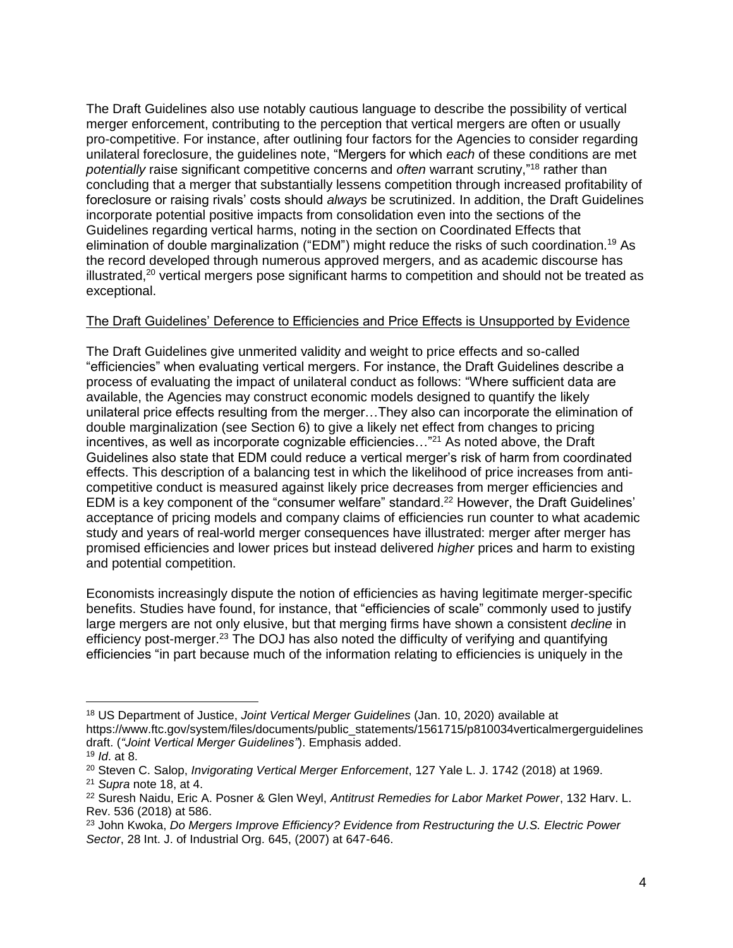The Draft Guidelines also use notably cautious language to describe the possibility of vertical merger enforcement, contributing to the perception that vertical mergers are often or usually pro-competitive. For instance, after outlining four factors for the Agencies to consider regarding unilateral foreclosure, the guidelines note, "Mergers for which *each* of these conditions are met *potentially* raise significant competitive concerns and *often* warrant scrutiny," <sup>18</sup> rather than concluding that a merger that substantially lessens competition through increased profitability of foreclosure or raising rivals' costs should *always* be scrutinized. In addition, the Draft Guidelines incorporate potential positive impacts from consolidation even into the sections of the Guidelines regarding vertical harms, noting in the section on Coordinated Effects that elimination of double marginalization ("EDM") might reduce the risks of such coordination.<sup>19</sup> As the record developed through numerous approved mergers, and as academic discourse has illustrated,<sup>20</sup> vertical mergers pose significant harms to competition and should not be treated as exceptional.

## The Draft Guidelines' Deference to Efficiencies and Price Effects is Unsupported by Evidence

The Draft Guidelines give unmerited validity and weight to price effects and so-called "efficiencies" when evaluating vertical mergers. For instance, the Draft Guidelines describe a process of evaluating the impact of unilateral conduct as follows: "Where sufficient data are available, the Agencies may construct economic models designed to quantify the likely unilateral price effects resulting from the merger…They also can incorporate the elimination of double marginalization (see Section 6) to give a likely net effect from changes to pricing incentives, as well as incorporate cognizable efficiencies..."<sup>21</sup> As noted above, the Draft Guidelines also state that EDM could reduce a vertical merger's risk of harm from coordinated effects. This description of a balancing test in which the likelihood of price increases from anticompetitive conduct is measured against likely price decreases from merger efficiencies and EDM is a key component of the "consumer welfare" standard.<sup>22</sup> However, the Draft Guidelines' acceptance of pricing models and company claims of efficiencies run counter to what academic study and years of real-world merger consequences have illustrated: merger after merger has promised efficiencies and lower prices but instead delivered *higher* prices and harm to existing and potential competition.

Economists increasingly dispute the notion of efficiencies as having legitimate merger-specific benefits. Studies have found, for instance, that "efficiencies of scale" commonly used to justify large mergers are not only elusive, but that merging firms have shown a consistent *decline* in efficiency post-merger.<sup>23</sup> The DOJ has also noted the difficulty of verifying and quantifying efficiencies "in part because much of the information relating to efficiencies is uniquely in the

 $\overline{a}$ 

<sup>18</sup> US Department of Justice, *Joint Vertical Merger Guidelines* (Jan. 10, 2020) available at https://www.ftc.gov/system/files/documents/public\_statements/1561715/p810034verticalmergerguidelines draft. (*"Joint Vertical Merger Guidelines"*). Emphasis added.

<sup>19</sup> *Id*. at 8.

<sup>20</sup> Steven C. Salop, *Invigorating Vertical Merger Enforcement*, 127 Yale L. J. 1742 (2018) at 1969. <sup>21</sup> *Supra* note 18, at 4.

<sup>22</sup> Suresh Naidu, Eric A. Posner & Glen Weyl, *Antitrust Remedies for Labor Market Power*, 132 Harv. L. Rev. 536 (2018) at 586.

<sup>23</sup> John Kwoka, *Do Mergers Improve Efficiency? Evidence from Restructuring the U.S. Electric Power Sector*, 28 Int. J. of Industrial Org. 645, (2007) at 647-646.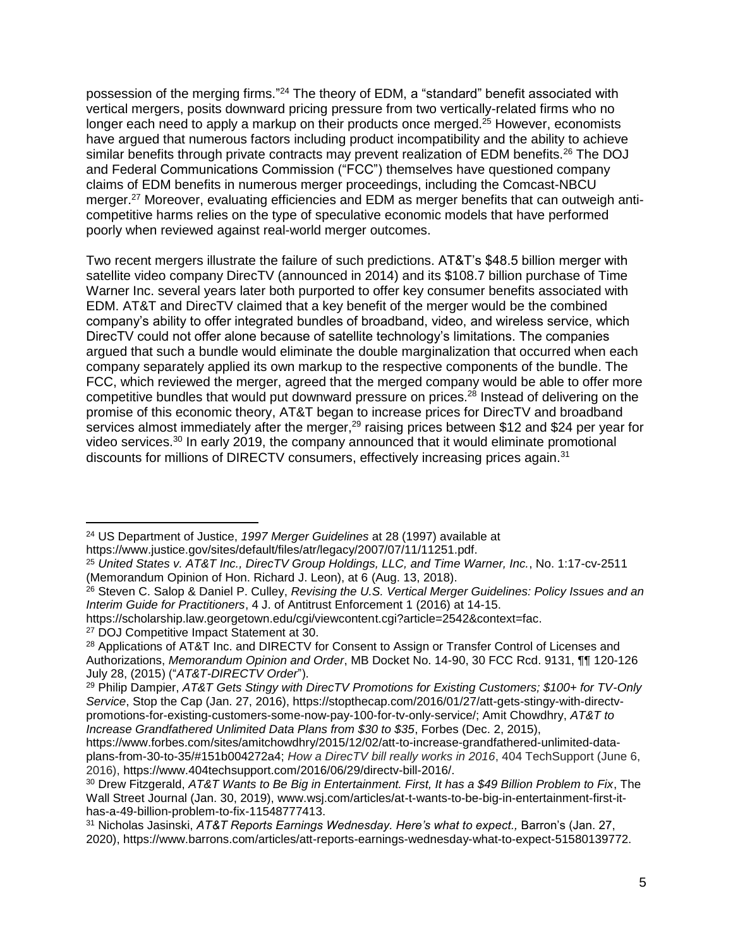possession of the merging firms."<sup>24</sup> The theory of EDM, a "standard" benefit associated with vertical mergers, posits downward pricing pressure from two vertically-related firms who no longer each need to apply a markup on their products once merged.<sup>25</sup> However, economists have argued that numerous factors including product incompatibility and the ability to achieve similar benefits through private contracts may prevent realization of EDM benefits.<sup>26</sup> The DOJ and Federal Communications Commission ("FCC") themselves have questioned company claims of EDM benefits in numerous merger proceedings, including the Comcast-NBCU merger.<sup>27</sup> Moreover, evaluating efficiencies and EDM as merger benefits that can outweigh anticompetitive harms relies on the type of speculative economic models that have performed poorly when reviewed against real-world merger outcomes.

Two recent mergers illustrate the failure of such predictions. AT&T's \$48.5 billion merger with satellite video company DirecTV (announced in 2014) and its \$108.7 billion purchase of Time Warner Inc. several years later both purported to offer key consumer benefits associated with EDM. AT&T and DirecTV claimed that a key benefit of the merger would be the combined company's ability to offer integrated bundles of broadband, video, and wireless service, which DirecTV could not offer alone because of satellite technology's limitations. The companies argued that such a bundle would eliminate the double marginalization that occurred when each company separately applied its own markup to the respective components of the bundle. The FCC, which reviewed the merger, agreed that the merged company would be able to offer more competitive bundles that would put downward pressure on prices.<sup>28</sup> Instead of delivering on the promise of this economic theory, AT&T began to increase prices for DirecTV and broadband services almost immediately after the merger,<sup>29</sup> raising prices between \$12 and \$24 per year for video services.<sup>30</sup> In early 2019, the company announced that it would eliminate promotional discounts for millions of DIRECTV consumers, effectively increasing prices again.<sup>31</sup>

l

<sup>24</sup> US Department of Justice, *1997 Merger Guidelines* at 28 (1997) available at https://www.justice.gov/sites/default/files/atr/legacy/2007/07/11/11251.pdf.

<sup>25</sup> *United States v. AT&T Inc., DirecTV Group Holdings, LLC, and Time Warner, Inc.*, No. 1:17-cv-2511 (Memorandum Opinion of Hon. Richard J. Leon), at 6 (Aug. 13, 2018).

<sup>26</sup> Steven C. Salop & Daniel P. Culley, *Revising the U.S. Vertical Merger Guidelines: Policy Issues and an Interim Guide for Practitioners*, 4 J. of Antitrust Enforcement 1 (2016) at 14-15.

https://scholarship.law.georgetown.edu/cgi/viewcontent.cgi?article=2542&context=fac.

<sup>27</sup> DOJ Competitive Impact Statement at 30.

<sup>&</sup>lt;sup>28</sup> Applications of AT&T Inc. and DIRECTV for Consent to Assign or Transfer Control of Licenses and Authorizations, *Memorandum Opinion and Order*, MB Docket No. 14-90, 30 FCC Rcd. 9131, ¶¶ 120-126 July 28, (2015) ("*AT&T-DIRECTV Order*").

<sup>29</sup> Philip Dampier, *AT&T Gets Stingy with DirecTV Promotions for Existing Customers; \$100+ for TV-Only Service*, Stop the Cap (Jan. 27, 2016), https://stopthecap.com/2016/01/27/att-gets-stingy-with-directvpromotions-for-existing-customers-some-now-pay-100-for-tv-only-service/; Amit Chowdhry, *AT&T to Increase Grandfathered Unlimited Data Plans from \$30 to \$35*, Forbes (Dec. 2, 2015),

https://www.forbes.com/sites/amitchowdhry/2015/12/02/att-to-increase-grandfathered-unlimited-dataplans-from-30-to-35/#151b004272a4; *How a DirecTV bill really works in 2016*, 404 TechSupport (June 6, 2016), https://www.404techsupport.com/2016/06/29/directv-bill-2016/.

<sup>30</sup> Drew Fitzgerald, *AT&T Wants to Be Big in Entertainment. First, It has a \$49 Billion Problem to Fix*, The Wall Street Journal (Jan. 30, 2019), www.wsj.com/articles/at-t-wants-to-be-big-in-entertainment-first-ithas-a-49-billion-problem-to-fix-11548777413.

<sup>31</sup> Nicholas Jasinski, *AT&T Reports Earnings Wednesday. Here's what to expect.,* Barron's (Jan. 27, 2020), https://www.barrons.com/articles/att-reports-earnings-wednesday-what-to-expect-51580139772.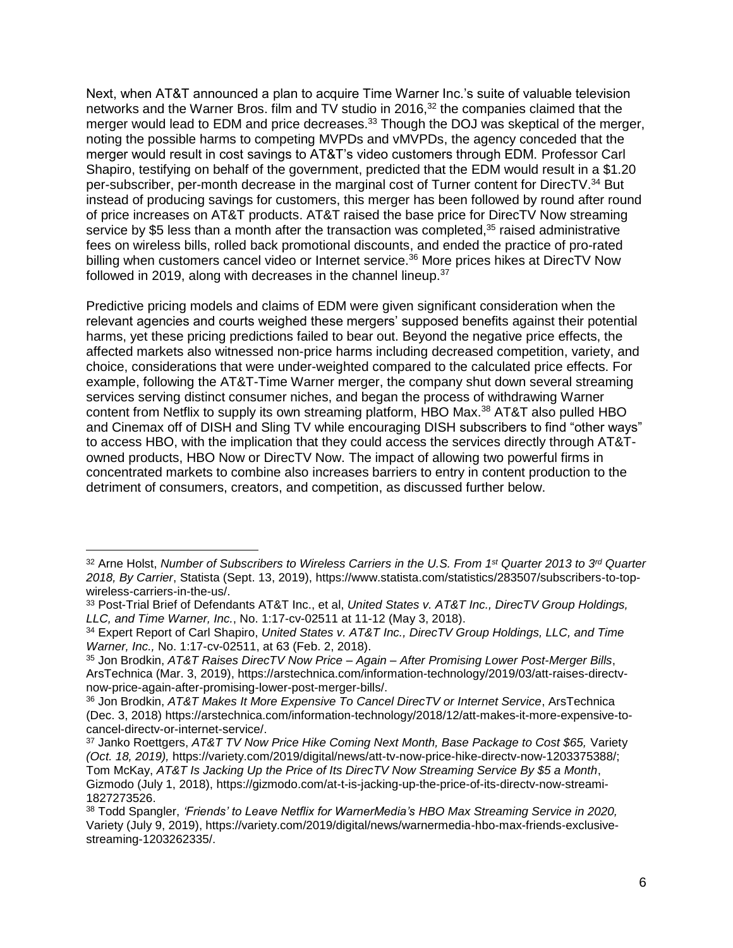Next, when AT&T announced a plan to acquire Time Warner Inc.'s suite of valuable television networks and the Warner Bros. film and TV studio in 2016,<sup>32</sup> the companies claimed that the merger would lead to EDM and price decreases.<sup>33</sup> Though the DOJ was skeptical of the merger, noting the possible harms to competing MVPDs and vMVPDs, the agency conceded that the merger would result in cost savings to AT&T's video customers through EDM. Professor Carl Shapiro, testifying on behalf of the government, predicted that the EDM would result in a \$1.20 per-subscriber, per-month decrease in the marginal cost of Turner content for DirecTV.<sup>34</sup> But instead of producing savings for customers, this merger has been followed by round after round of price increases on AT&T products. AT&T raised the base price for DirecTV Now streaming service by \$5 less than a month after the transaction was completed,<sup>35</sup> raised administrative fees on wireless bills, rolled back promotional discounts, and ended the practice of pro-rated billing when customers cancel video or Internet service.<sup>36</sup> More prices hikes at DirecTV Now followed in 2019, along with decreases in the channel lineup.<sup>37</sup>

Predictive pricing models and claims of EDM were given significant consideration when the relevant agencies and courts weighed these mergers' supposed benefits against their potential harms, yet these pricing predictions failed to bear out. Beyond the negative price effects, the affected markets also witnessed non-price harms including decreased competition, variety, and choice, considerations that were under-weighted compared to the calculated price effects. For example, following the AT&T-Time Warner merger, the company shut down several streaming services serving distinct consumer niches, and began the process of withdrawing Warner content from Netflix to supply its own streaming platform, HBO Max.<sup>38</sup> AT&T also pulled HBO and Cinemax off of DISH and Sling TV while encouraging DISH subscribers to find "other ways" to access HBO, with the implication that they could access the services directly through AT&Towned products, HBO Now or DirecTV Now. The impact of allowing two powerful firms in concentrated markets to combine also increases barriers to entry in content production to the detriment of consumers, creators, and competition, as discussed further below.

 $\overline{\phantom{a}}$ 

<sup>32</sup> Arne Holst, *Number of Subscribers to Wireless Carriers in the U.S. From 1st Quarter 2013 to 3rd Quarter 2018, By Carrier*, Statista (Sept. 13, 2019), https://www.statista.com/statistics/283507/subscribers-to-topwireless-carriers-in-the-us/.

<sup>33</sup> Post-Trial Brief of Defendants AT&T Inc., et al, *United States v. AT&T Inc., DirecTV Group Holdings, LLC, and Time Warner, Inc.*, No. 1:17-cv-02511 at 11-12 (May 3, 2018).

<sup>34</sup> Expert Report of Carl Shapiro, *United States v. AT&T Inc., DirecTV Group Holdings, LLC, and Time Warner, Inc.,* No. 1:17-cv-02511, at 63 (Feb. 2, 2018).

<sup>35</sup> Jon Brodkin, *AT&T Raises DirecTV Now Price – Again – After Promising Lower Post-Merger Bills*, ArsTechnica (Mar. 3, 2019), https://arstechnica.com/information-technology/2019/03/att-raises-directvnow-price-again-after-promising-lower-post-merger-bills/.

<sup>36</sup> Jon Brodkin, *AT&T Makes It More Expensive To Cancel DirecTV or Internet Service*, ArsTechnica (Dec. 3, 2018) https://arstechnica.com/information-technology/2018/12/att-makes-it-more-expensive-tocancel-directv-or-internet-service/.

<sup>37</sup> Janko Roettgers, *AT&T TV Now Price Hike Coming Next Month, Base Package to Cost \$65,* Variety *(Oct. 18, 2019),* https://variety.com/2019/digital/news/att-tv-now-price-hike-directv-now-1203375388/; Tom McKay, *AT&T Is Jacking Up the Price of Its DirecTV Now Streaming Service By \$5 a Month*, Gizmodo (July 1, 2018), https://gizmodo.com/at-t-is-jacking-up-the-price-of-its-directv-now-streami-1827273526.

<sup>38</sup> Todd Spangler, *'Friends' to Leave Netflix for WarnerMedia's HBO Max Streaming Service in 2020,* Variety (July 9, 2019), https://variety.com/2019/digital/news/warnermedia-hbo-max-friends-exclusivestreaming-1203262335/.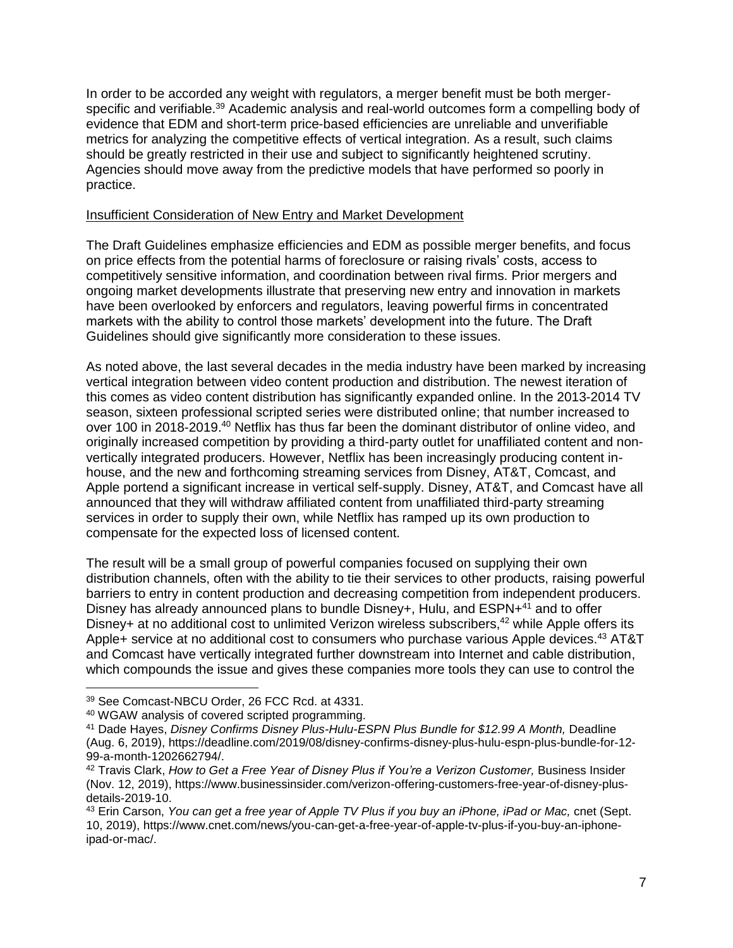In order to be accorded any weight with regulators, a merger benefit must be both mergerspecific and verifiable.<sup>39</sup> Academic analysis and real-world outcomes form a compelling body of evidence that EDM and short-term price-based efficiencies are unreliable and unverifiable metrics for analyzing the competitive effects of vertical integration. As a result, such claims should be greatly restricted in their use and subject to significantly heightened scrutiny. Agencies should move away from the predictive models that have performed so poorly in practice.

#### Insufficient Consideration of New Entry and Market Development

The Draft Guidelines emphasize efficiencies and EDM as possible merger benefits, and focus on price effects from the potential harms of foreclosure or raising rivals' costs, access to competitively sensitive information, and coordination between rival firms. Prior mergers and ongoing market developments illustrate that preserving new entry and innovation in markets have been overlooked by enforcers and regulators, leaving powerful firms in concentrated markets with the ability to control those markets' development into the future. The Draft Guidelines should give significantly more consideration to these issues.

As noted above, the last several decades in the media industry have been marked by increasing vertical integration between video content production and distribution. The newest iteration of this comes as video content distribution has significantly expanded online. In the 2013-2014 TV season, sixteen professional scripted series were distributed online; that number increased to over 100 in 2018-2019.<sup>40</sup> Netflix has thus far been the dominant distributor of online video, and originally increased competition by providing a third-party outlet for unaffiliated content and nonvertically integrated producers. However, Netflix has been increasingly producing content inhouse, and the new and forthcoming streaming services from Disney, AT&T, Comcast, and Apple portend a significant increase in vertical self-supply. Disney, AT&T, and Comcast have all announced that they will withdraw affiliated content from unaffiliated third-party streaming services in order to supply their own, while Netflix has ramped up its own production to compensate for the expected loss of licensed content.

The result will be a small group of powerful companies focused on supplying their own distribution channels, often with the ability to tie their services to other products, raising powerful barriers to entry in content production and decreasing competition from independent producers. Disney has already announced plans to bundle Disney+, Hulu, and ESPN+<sup>41</sup> and to offer Disney+ at no additional cost to unlimited Verizon wireless subscribers,<sup>42</sup> while Apple offers its Apple+ service at no additional cost to consumers who purchase various Apple devices.<sup>43</sup> AT&T and Comcast have vertically integrated further downstream into Internet and cable distribution, which compounds the issue and gives these companies more tools they can use to control the

l

<sup>39</sup> See Comcast-NBCU Order, 26 FCC Rcd. at 4331.

<sup>40</sup> WGAW analysis of covered scripted programming.

<sup>&</sup>lt;sup>41</sup> Dade Hayes, *Disney Confirms Disney Plus-Hulu-ESPN Plus Bundle for \$12.99 A Month, Deadline* (Aug. 6, 2019), https://deadline.com/2019/08/disney-confirms-disney-plus-hulu-espn-plus-bundle-for-12- 99-a-month-1202662794/.

<sup>42</sup> Travis Clark, *How to Get a Free Year of Disney Plus if You're a Verizon Customer,* Business Insider (Nov. 12, 2019), https://www.businessinsider.com/verizon-offering-customers-free-year-of-disney-plusdetails-2019-10.

<sup>&</sup>lt;sup>43</sup> Erin Carson, *You can get a free year of Apple TV Plus if you buy an iPhone, iPad or Mac, cnet (Sept.* 10, 2019), https://www.cnet.com/news/you-can-get-a-free-year-of-apple-tv-plus-if-you-buy-an-iphoneipad-or-mac/.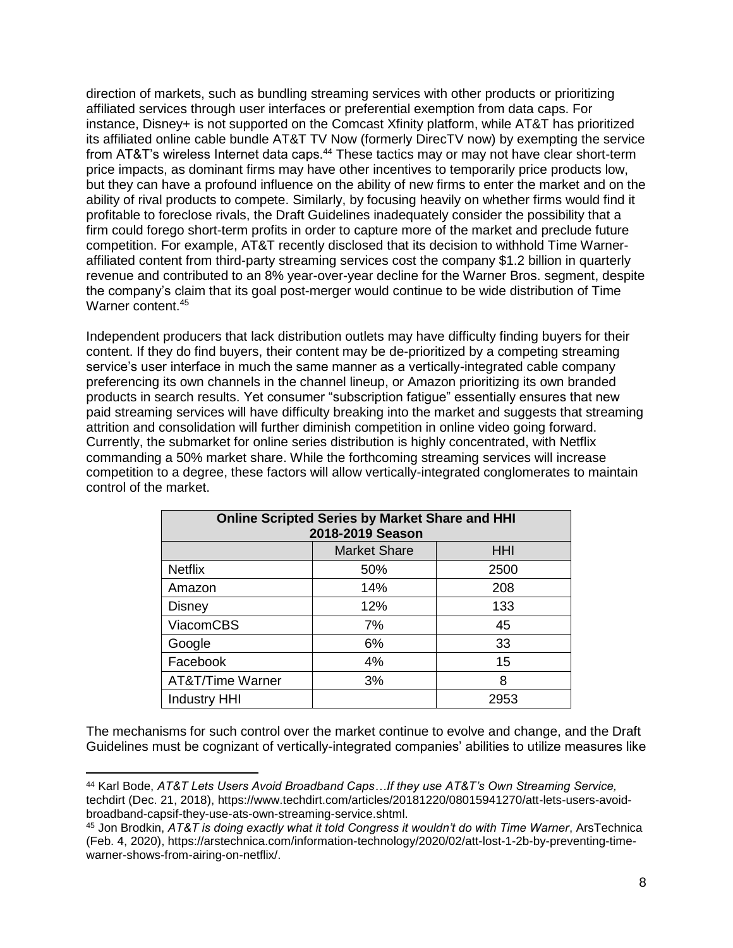direction of markets, such as bundling streaming services with other products or prioritizing affiliated services through user interfaces or preferential exemption from data caps. For instance, Disney+ is not supported on the Comcast Xfinity platform, while AT&T has prioritized its affiliated online cable bundle AT&T TV Now (formerly DirecTV now) by exempting the service from AT&T's wireless Internet data caps.<sup>44</sup> These tactics may or may not have clear short-term price impacts, as dominant firms may have other incentives to temporarily price products low, but they can have a profound influence on the ability of new firms to enter the market and on the ability of rival products to compete. Similarly, by focusing heavily on whether firms would find it profitable to foreclose rivals, the Draft Guidelines inadequately consider the possibility that a firm could forego short-term profits in order to capture more of the market and preclude future competition. For example, AT&T recently disclosed that its decision to withhold Time Warneraffiliated content from third-party streaming services cost the company \$1.2 billion in quarterly revenue and contributed to an 8% year-over-year decline for the Warner Bros. segment, despite the company's claim that its goal post-merger would continue to be wide distribution of Time Warner content.<sup>45</sup>

Independent producers that lack distribution outlets may have difficulty finding buyers for their content. If they do find buyers, their content may be de-prioritized by a competing streaming service's user interface in much the same manner as a vertically-integrated cable company preferencing its own channels in the channel lineup, or Amazon prioritizing its own branded products in search results. Yet consumer "subscription fatigue" essentially ensures that new paid streaming services will have difficulty breaking into the market and suggests that streaming attrition and consolidation will further diminish competition in online video going forward. Currently, the submarket for online series distribution is highly concentrated, with Netflix commanding a 50% market share. While the forthcoming streaming services will increase competition to a degree, these factors will allow vertically-integrated conglomerates to maintain control of the market.

| <b>Online Scripted Series by Market Share and HHI</b><br>2018-2019 Season |                     |            |  |  |  |  |
|---------------------------------------------------------------------------|---------------------|------------|--|--|--|--|
|                                                                           | <b>Market Share</b> | <b>HHI</b> |  |  |  |  |
| <b>Netflix</b>                                                            | 50%                 | 2500       |  |  |  |  |
| Amazon                                                                    | 14%                 | 208        |  |  |  |  |
| <b>Disney</b>                                                             | 12%                 | 133        |  |  |  |  |
| <b>ViacomCBS</b>                                                          | 7%                  | 45         |  |  |  |  |
| Google                                                                    | 6%                  | 33         |  |  |  |  |
| Facebook                                                                  | 4%                  | 15         |  |  |  |  |
| AT&T/Time Warner                                                          | 3%                  | 8          |  |  |  |  |
| <b>Industry HHI</b>                                                       |                     | 2953       |  |  |  |  |

The mechanisms for such control over the market continue to evolve and change, and the Draft Guidelines must be cognizant of vertically-integrated companies' abilities to utilize measures like

 $\overline{\phantom{a}}$ 

<sup>44</sup> Karl Bode, *AT&T Lets Users Avoid Broadband Caps…If they use AT&T's Own Streaming Service,*  techdirt (Dec. 21, 2018), https://www.techdirt.com/articles/20181220/08015941270/att-lets-users-avoidbroadband-capsif-they-use-ats-own-streaming-service.shtml.

<sup>45</sup> Jon Brodkin, *AT&T is doing exactly what it told Congress it wouldn't do with Time Warner*, ArsTechnica (Feb. 4, 2020), https://arstechnica.com/information-technology/2020/02/att-lost-1-2b-by-preventing-timewarner-shows-from-airing-on-netflix/.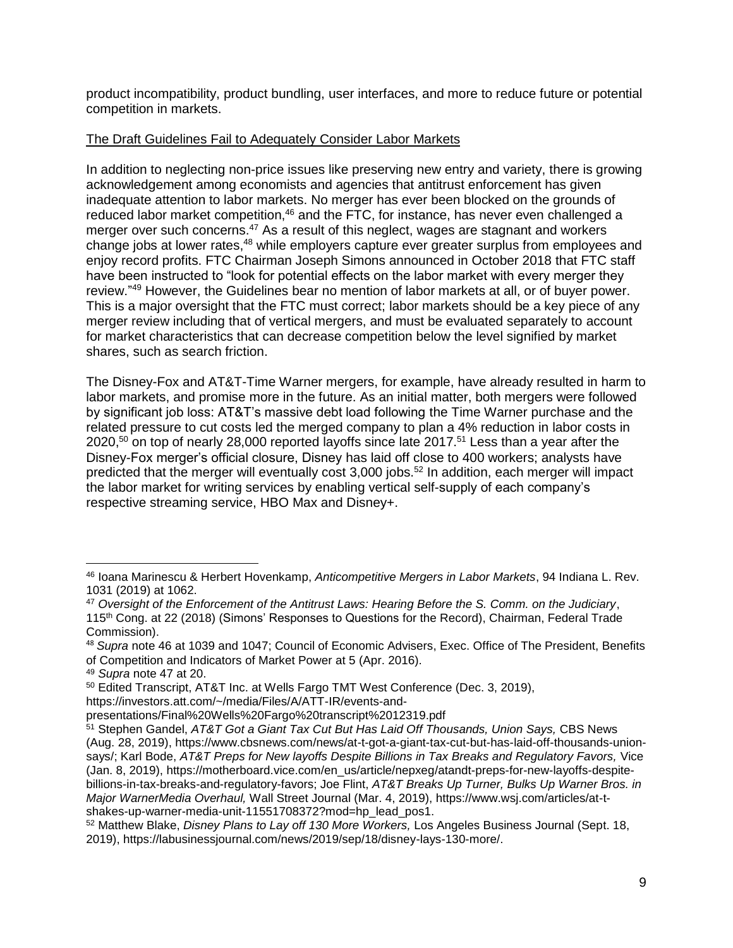product incompatibility, product bundling, user interfaces, and more to reduce future or potential competition in markets.

# The Draft Guidelines Fail to Adequately Consider Labor Markets

In addition to neglecting non-price issues like preserving new entry and variety, there is growing acknowledgement among economists and agencies that antitrust enforcement has given inadequate attention to labor markets. No merger has ever been blocked on the grounds of reduced labor market competition,<sup>46</sup> and the FTC, for instance, has never even challenged a merger over such concerns.<sup>47</sup> As a result of this neglect, wages are stagnant and workers change jobs at lower rates,<sup>48</sup> while employers capture ever greater surplus from employees and enjoy record profits. FTC Chairman Joseph Simons announced in October 2018 that FTC staff have been instructed to "look for potential effects on the labor market with every merger they review."<sup>49</sup> However, the Guidelines bear no mention of labor markets at all, or of buyer power. This is a major oversight that the FTC must correct; labor markets should be a key piece of any merger review including that of vertical mergers, and must be evaluated separately to account for market characteristics that can decrease competition below the level signified by market shares, such as search friction.

The Disney-Fox and AT&T-Time Warner mergers, for example, have already resulted in harm to labor markets, and promise more in the future. As an initial matter, both mergers were followed by significant job loss: AT&T's massive debt load following the Time Warner purchase and the related pressure to cut costs led the merged company to plan a 4% reduction in labor costs in 2020,<sup>50</sup> on top of nearly 28,000 reported layoffs since late 2017.<sup>51</sup> Less than a year after the Disney-Fox merger's official closure, Disney has laid off close to 400 workers; analysts have predicted that the merger will eventually cost 3,000 jobs.<sup>52</sup> In addition, each merger will impact the labor market for writing services by enabling vertical self-supply of each company's respective streaming service, HBO Max and Disney+.

shakes-up-warner-media-unit-11551708372?mod=hp\_lead\_pos1.

 $\overline{\phantom{a}}$ <sup>46</sup> Ioana Marinescu & Herbert Hovenkamp, *Anticompetitive Mergers in Labor Markets*, 94 Indiana L. Rev. 1031 (2019) at 1062.

<sup>47</sup> *Oversight of the Enforcement of the Antitrust Laws: Hearing Before the S. Comm. on the Judiciary*, 115th Cong. at 22 (2018) (Simons' Responses to Questions for the Record), Chairman, Federal Trade Commission).

<sup>48</sup> *Supra* note 46 at 1039 and 1047; Council of Economic Advisers, Exec. Office of The President, Benefits of Competition and Indicators of Market Power at 5 (Apr. 2016).

<sup>49</sup> *Supra* note 47 at 20.

<sup>50</sup> Edited Transcript, AT&T Inc. at Wells Fargo TMT West Conference (Dec. 3, 2019), https://investors.att.com/~/media/Files/A/ATT-IR/events-and-

presentations/Final%20Wells%20Fargo%20transcript%2012319.pdf

<sup>51</sup> Stephen Gandel, *AT&T Got a Giant Tax Cut But Has Laid Off Thousands, Union Says,* CBS News (Aug. 28, 2019), https://www.cbsnews.com/news/at-t-got-a-giant-tax-cut-but-has-laid-off-thousands-unionsays/; Karl Bode, *AT&T Preps for New layoffs Despite Billions in Tax Breaks and Regulatory Favors,* Vice (Jan. 8, 2019), https://motherboard.vice.com/en\_us/article/nepxeg/atandt-preps-for-new-layoffs-despitebillions-in-tax-breaks-and-regulatory-favors; Joe Flint, *AT&T Breaks Up Turner, Bulks Up Warner Bros. in Major WarnerMedia Overhaul,* Wall Street Journal (Mar. 4, 2019), https://www.wsj.com/articles/at-t-

<sup>52</sup> Matthew Blake, *Disney Plans to Lay off 130 More Workers,* Los Angeles Business Journal (Sept. 18, 2019), https://labusinessjournal.com/news/2019/sep/18/disney-lays-130-more/.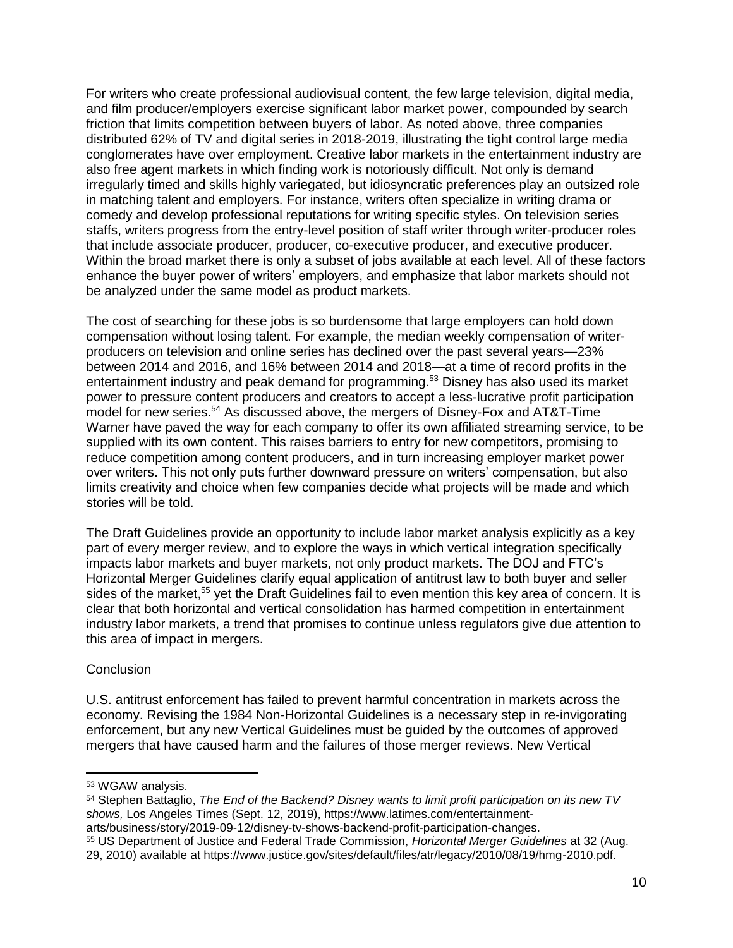For writers who create professional audiovisual content, the few large television, digital media, and film producer/employers exercise significant labor market power, compounded by search friction that limits competition between buyers of labor. As noted above, three companies distributed 62% of TV and digital series in 2018-2019, illustrating the tight control large media conglomerates have over employment. Creative labor markets in the entertainment industry are also free agent markets in which finding work is notoriously difficult. Not only is demand irregularly timed and skills highly variegated, but idiosyncratic preferences play an outsized role in matching talent and employers. For instance, writers often specialize in writing drama or comedy and develop professional reputations for writing specific styles. On television series staffs, writers progress from the entry-level position of staff writer through writer-producer roles that include associate producer, producer, co-executive producer, and executive producer. Within the broad market there is only a subset of jobs available at each level. All of these factors enhance the buyer power of writers' employers, and emphasize that labor markets should not be analyzed under the same model as product markets.

The cost of searching for these jobs is so burdensome that large employers can hold down compensation without losing talent. For example, the median weekly compensation of writerproducers on television and online series has declined over the past several years—23% between 2014 and 2016, and 16% between 2014 and 2018—at a time of record profits in the entertainment industry and peak demand for programming.<sup>53</sup> Disney has also used its market power to pressure content producers and creators to accept a less-lucrative profit participation model for new series. <sup>54</sup> As discussed above, the mergers of Disney-Fox and AT&T-Time Warner have paved the way for each company to offer its own affiliated streaming service, to be supplied with its own content. This raises barriers to entry for new competitors, promising to reduce competition among content producers, and in turn increasing employer market power over writers. This not only puts further downward pressure on writers' compensation, but also limits creativity and choice when few companies decide what projects will be made and which stories will be told.

The Draft Guidelines provide an opportunity to include labor market analysis explicitly as a key part of every merger review, and to explore the ways in which vertical integration specifically impacts labor markets and buyer markets, not only product markets. The DOJ and FTC's Horizontal Merger Guidelines clarify equal application of antitrust law to both buyer and seller sides of the market,<sup>55</sup> yet the Draft Guidelines fail to even mention this key area of concern. It is clear that both horizontal and vertical consolidation has harmed competition in entertainment industry labor markets, a trend that promises to continue unless regulators give due attention to this area of impact in mergers.

## **Conclusion**

 $\overline{\phantom{a}}$ 

U.S. antitrust enforcement has failed to prevent harmful concentration in markets across the economy. Revising the 1984 Non-Horizontal Guidelines is a necessary step in re-invigorating enforcement, but any new Vertical Guidelines must be guided by the outcomes of approved mergers that have caused harm and the failures of those merger reviews. New Vertical

<sup>53</sup> WGAW analysis.

<sup>54</sup> Stephen Battaglio, *The End of the Backend? Disney wants to limit profit participation on its new TV shows,* Los Angeles Times (Sept. 12, 2019), https://www.latimes.com/entertainmentarts/business/story/2019-09-12/disney-tv-shows-backend-profit-participation-changes.

<sup>55</sup> US Department of Justice and Federal Trade Commission, *Horizontal Merger Guidelines* at 32 (Aug. 29, 2010) available at https://www.justice.gov/sites/default/files/atr/legacy/2010/08/19/hmg-2010.pdf.